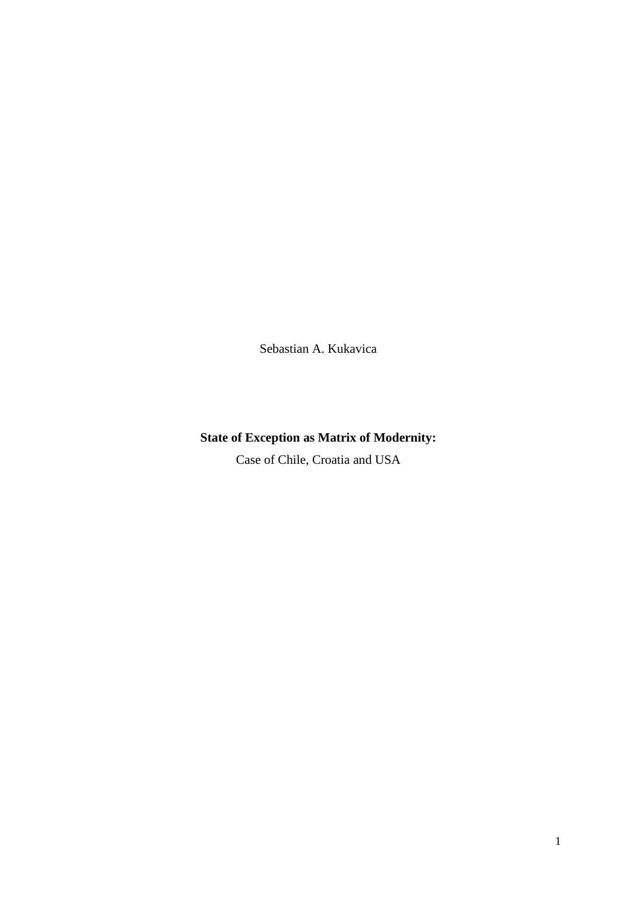Sebastian A. Kukavica

# **State of Exception as Matrix of Modernity:**

Case of Chile, Croatia and USA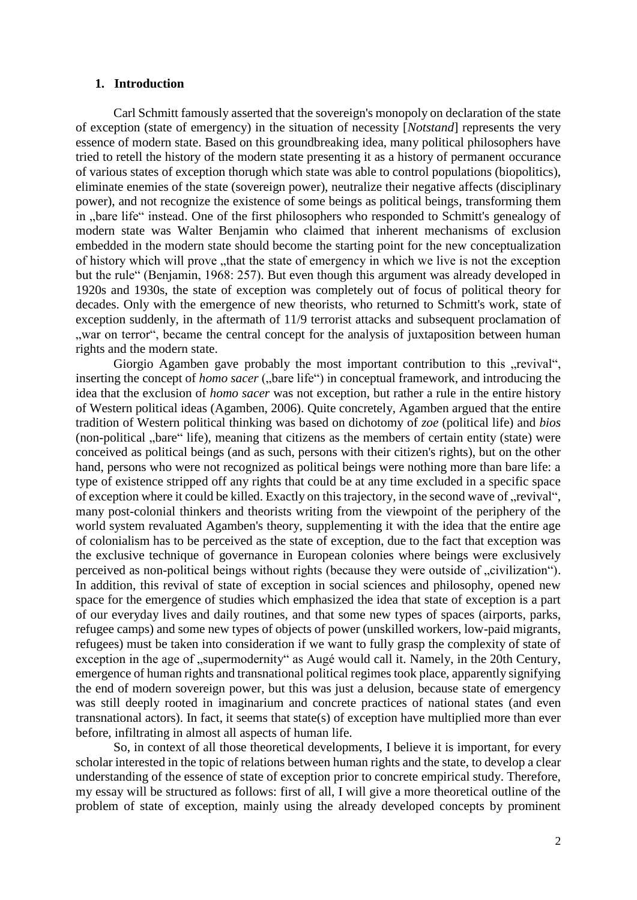# **1. Introduction**

Carl Schmitt famously asserted that the sovereign's monopoly on declaration of the state of exception (state of emergency) in the situation of necessity [*Notstand*] represents the very essence of modern state. Based on this groundbreaking idea, many political philosophers have tried to retell the history of the modern state presenting it as a history of permanent occurance of various states of exception thorugh which state was able to control populations (biopolitics), eliminate enemies of the state (sovereign power), neutralize their negative affects (disciplinary power), and not recognize the existence of some beings as political beings, transforming them in "bare life" instead. One of the first philosophers who responded to Schmitt's genealogy of modern state was Walter Benjamin who claimed that inherent mechanisms of exclusion embedded in the modern state should become the starting point for the new conceptualization of history which will prove "that the state of emergency in which we live is not the exception but the rule" (Benjamin, 1968: 257). But even though this argument was already developed in 1920s and 1930s, the state of exception was completely out of focus of political theory for decades. Only with the emergence of new theorists, who returned to Schmitt's work, state of exception suddenly, in the aftermath of 11/9 terrorist attacks and subsequent proclamation of ", war on terror", became the central concept for the analysis of juxtaposition between human rights and the modern state.

Giorgio Agamben gave probably the most important contribution to this "revival", inserting the concept of *homo sacer* ("bare life") in conceptual framework, and introducing the idea that the exclusion of *homo sacer* was not exception, but rather a rule in the entire history of Western political ideas (Agamben, 2006). Quite concretely, Agamben argued that the entire tradition of Western political thinking was based on dichotomy of *zoe* (political life) and *bios* (non-political ,,bare" life), meaning that citizens as the members of certain entity (state) were conceived as political beings (and as such, persons with their citizen's rights), but on the other hand, persons who were not recognized as political beings were nothing more than bare life: a type of existence stripped off any rights that could be at any time excluded in a specific space of exception where it could be killed. Exactly on this trajectory, in the second wave of "revival", many post-colonial thinkers and theorists writing from the viewpoint of the periphery of the world system revaluated Agamben's theory, supplementing it with the idea that the entire age of colonialism has to be perceived as the state of exception, due to the fact that exception was the exclusive technique of governance in European colonies where beings were exclusively perceived as non-political beings without rights (because they were outside of "civilization"). In addition, this revival of state of exception in social sciences and philosophy, opened new space for the emergence of studies which emphasized the idea that state of exception is a part of our everyday lives and daily routines, and that some new types of spaces (airports, parks, refugee camps) and some new types of objects of power (unskilled workers, low-paid migrants, refugees) must be taken into consideration if we want to fully grasp the complexity of state of exception in the age of "supermodernity" as Augé would call it. Namely, in the 20th Century, emergence of human rights and transnational political regimes took place, apparently signifying the end of modern sovereign power, but this was just a delusion, because state of emergency was still deeply rooted in imaginarium and concrete practices of national states (and even transnational actors). In fact, it seems that state(s) of exception have multiplied more than ever before, infiltrating in almost all aspects of human life.

So, in context of all those theoretical developments, I believe it is important, for every scholar interested in the topic of relations between human rights and the state, to develop a clear understanding of the essence of state of exception prior to concrete empirical study. Therefore, my essay will be structured as follows: first of all, I will give a more theoretical outline of the problem of state of exception, mainly using the already developed concepts by prominent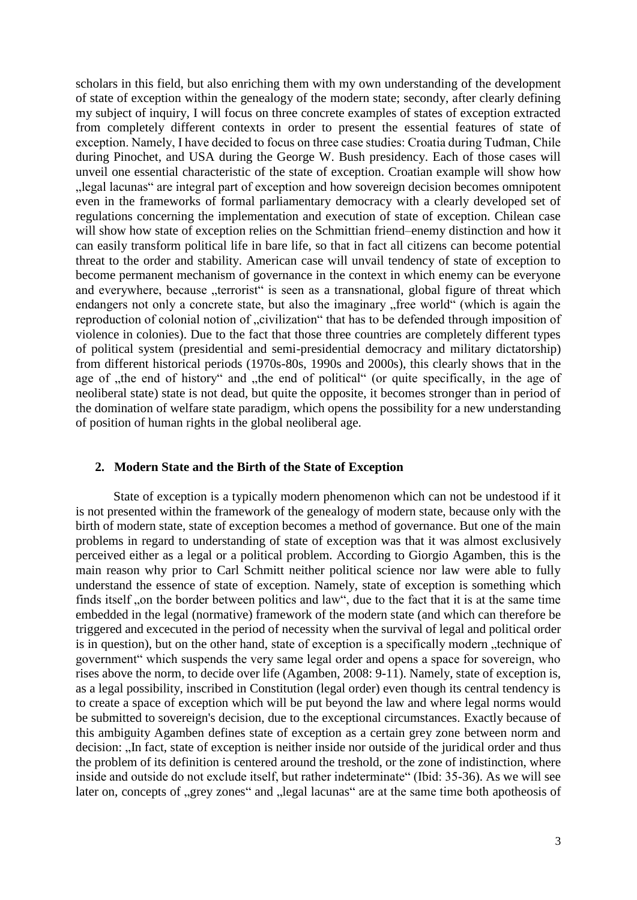scholars in this field, but also enriching them with my own understanding of the development of state of exception within the genealogy of the modern state; secondy, after clearly defining my subject of inquiry, I will focus on three concrete examples of states of exception extracted from completely different contexts in order to present the essential features of state of exception. Namely, I have decided to focus on three case studies: Croatia during Tuđman, Chile during Pinochet, and USA during the George W. Bush presidency. Each of those cases will unveil one essential characteristic of the state of exception. Croatian example will show how "legal lacunas" are integral part of exception and how sovereign decision becomes omnipotent even in the frameworks of formal parliamentary democracy with a clearly developed set of regulations concerning the implementation and execution of state of exception. Chilean case will show how state of exception relies on the Schmittian friend–enemy distinction and how it can easily transform political life in bare life, so that in fact all citizens can become potential threat to the order and stability. American case will unvail tendency of state of exception to become permanent mechanism of governance in the context in which enemy can be everyone and everywhere, because "terrorist" is seen as a transnational, global figure of threat which endangers not only a concrete state, but also the imaginary "free world" (which is again the reproduction of colonial notion of "civilization" that has to be defended through imposition of violence in colonies). Due to the fact that those three countries are completely different types of political system (presidential and semi-presidential democracy and military dictatorship) from different historical periods (1970s-80s, 1990s and 2000s), this clearly shows that in the age of "the end of history" and "the end of political" (or quite specifically, in the age of neoliberal state) state is not dead, but quite the opposite, it becomes stronger than in period of the domination of welfare state paradigm, which opens the possibility for a new understanding of position of human rights in the global neoliberal age.

## **2. Modern State and the Birth of the State of Exception**

State of exception is a typically modern phenomenon which can not be undestood if it is not presented within the framework of the genealogy of modern state, because only with the birth of modern state, state of exception becomes a method of governance. But one of the main problems in regard to understanding of state of exception was that it was almost exclusively perceived either as a legal or a political problem. According to Giorgio Agamben, this is the main reason why prior to Carl Schmitt neither political science nor law were able to fully understand the essence of state of exception. Namely, state of exception is something which finds itself ,,on the border between politics and law", due to the fact that it is at the same time embedded in the legal (normative) framework of the modern state (and which can therefore be triggered and excecuted in the period of necessity when the survival of legal and political order is in question), but on the other hand, state of exception is a specifically modern, technique of government" which suspends the very same legal order and opens a space for sovereign, who rises above the norm, to decide over life (Agamben, 2008: 9-11). Namely, state of exception is, as a legal possibility, inscribed in Constitution (legal order) even though its central tendency is to create a space of exception which will be put beyond the law and where legal norms would be submitted to sovereign's decision, due to the exceptional circumstances. Exactly because of this ambiguity Agamben defines state of exception as a certain grey zone between norm and decision: "In fact, state of exception is neither inside nor outside of the juridical order and thus the problem of its definition is centered around the treshold, or the zone of indistinction, where inside and outside do not exclude itself, but rather indeterminate" (Ibid: 35-36). As we will see later on, concepts of "grey zones" and "legal lacunas" are at the same time both apotheosis of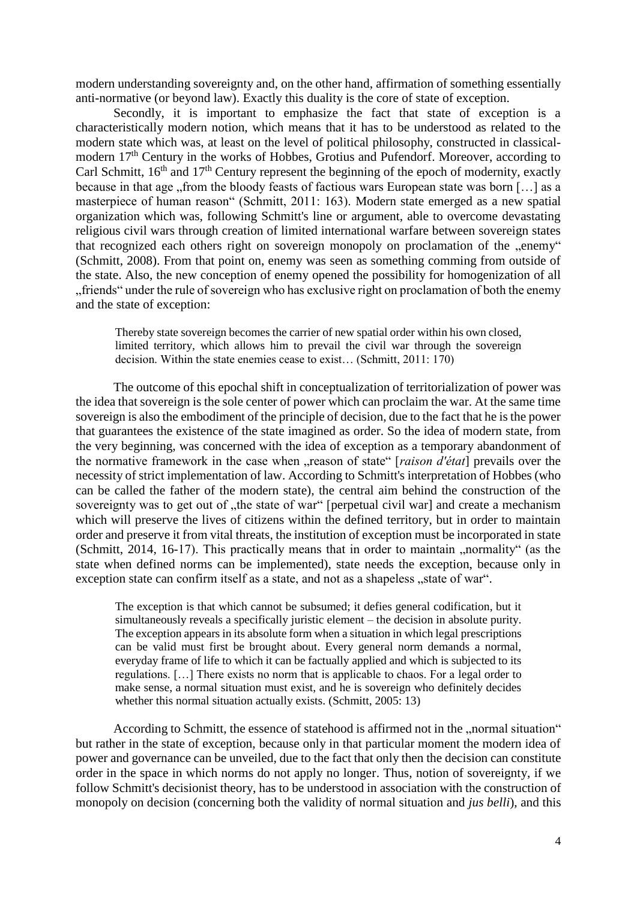modern understanding sovereignty and, on the other hand, affirmation of something essentially anti-normative (or beyond law). Exactly this duality is the core of state of exception.

Secondly, it is important to emphasize the fact that state of exception is a characteristically modern notion, which means that it has to be understood as related to the modern state which was, at least on the level of political philosophy, constructed in classicalmodern 17<sup>th</sup> Century in the works of Hobbes, Grotius and Pufendorf. Moreover, according to Carl Schmitt,  $16<sup>th</sup>$  and  $17<sup>th</sup>$  Century represent the beginning of the epoch of modernity, exactly because in that age "from the bloody feasts of factious wars European state was born [...] as a masterpiece of human reason" (Schmitt, 2011: 163). Modern state emerged as a new spatial organization which was, following Schmitt's line or argument, able to overcome devastating religious civil wars through creation of limited international warfare between sovereign states that recognized each others right on sovereign monopoly on proclamation of the "enemy" (Schmitt, 2008). From that point on, enemy was seen as something comming from outside of the state. Also, the new conception of enemy opened the possibility for homogenization of all "friends" under the rule of sovereign who has exclusive right on proclamation of both the enemy and the state of exception:

Thereby state sovereign becomes the carrier of new spatial order within his own closed, limited territory, which allows him to prevail the civil war through the sovereign decision. Within the state enemies cease to exist… (Schmitt, 2011: 170)

The outcome of this epochal shift in conceptualization of territorialization of power was the idea that sovereign is the sole center of power which can proclaim the war. At the same time sovereign is also the embodiment of the principle of decision, due to the fact that he is the power that guarantees the existence of the state imagined as order. So the idea of modern state, from the very beginning, was concerned with the idea of exception as a temporary abandonment of the normative framework in the case when "reason of state" [*raison d'état*] prevails over the necessity of strict implementation of law. According to Schmitt's interpretation of Hobbes (who can be called the father of the modern state), the central aim behind the construction of the sovereignty was to get out of "the state of war" [perpetual civil war] and create a mechanism which will preserve the lives of citizens within the defined territory, but in order to maintain order and preserve it from vital threats, the institution of exception must be incorporated in state (Schmitt, 2014, 16-17). This practically means that in order to maintain "normality" (as the state when defined norms can be implemented), state needs the exception, because only in exception state can confirm itself as a state, and not as a shapeless "state of war".

The exception is that which cannot be subsumed; it defies general codification, but it simultaneously reveals a specifically juristic element – the decision in absolute purity. The exception appears in its absolute form when a situation in which legal prescriptions can be valid must first be brought about. Every general norm demands a normal, everyday frame of life to which it can be factually applied and which is subjected to its regulations. […] There exists no norm that is applicable to chaos. For a legal order to make sense, a normal situation must exist, and he is sovereign who definitely decides whether this normal situation actually exists. (Schmitt, 2005: 13)

According to Schmitt, the essence of statehood is affirmed not in the "normal situation" but rather in the state of exception, because only in that particular moment the modern idea of power and governance can be unveiled, due to the fact that only then the decision can constitute order in the space in which norms do not apply no longer. Thus, notion of sovereignty, if we follow Schmitt's decisionist theory, has to be understood in association with the construction of monopoly on decision (concerning both the validity of normal situation and *jus belli*), and this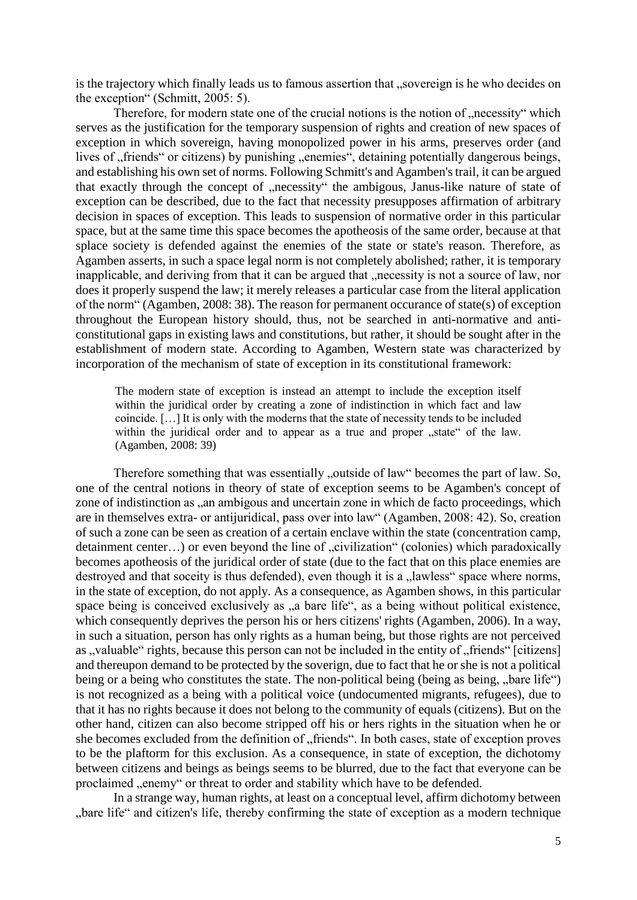is the trajectory which finally leads us to famous assertion that "sovereign is he who decides on the exception" (Schmitt, 2005: 5).

Therefore, for modern state one of the crucial notions is the notion of "necessity" which serves as the justification for the temporary suspension of rights and creation of new spaces of exception in which sovereign, having monopolized power in his arms, preserves order (and lives of "friends" or citizens) by punishing "enemies", detaining potentially dangerous beings, and establishing his own set of norms. Following Schmitt's and Agamben's trail, it can be argued that exactly through the concept of "necessity" the ambigous, Janus-like nature of state of exception can be described, due to the fact that necessity presupposes affirmation of arbitrary decision in spaces of exception. This leads to suspension of normative order in this particular space, but at the same time this space becomes the apotheosis of the same order, because at that splace society is defended against the enemies of the state or state's reason. Therefore, as Agamben asserts, in such a space legal norm is not completely abolished; rather, it is temporary inapplicable, and deriving from that it can be argued that "necessity is not a source of law, nor does it properly suspend the law; it merely releases a particular case from the literal application of the norm" (Agamben, 2008: 38). The reason for permanent occurance of state(s) of exception throughout the European history should, thus, not be searched in anti-normative and anticonstitutional gaps in existing laws and constitutions, but rather, it should be sought after in the establishment of modern state. According to Agamben, Western state was characterized by incorporation of the mechanism of state of exception in its constitutional framework:

The modern state of exception is instead an attempt to include the exception itself within the juridical order by creating a zone of indistinction in which fact and law coincide. […] It is only with the moderns that the state of necessity tends to be included within the juridical order and to appear as a true and proper "state" of the law. (Agamben, 2008: 39)

Therefore something that was essentially "outside of law" becomes the part of law. So, one of the central notions in theory of state of exception seems to be Agamben's concept of zone of indistinction as ,,an ambigous and uncertain zone in which de facto proceedings, which are in themselves extra- or antijuridical, pass over into law" (Agamben, 2008: 42). So, creation of such a zone can be seen as creation of a certain enclave within the state (concentration camp, detainment center...) or even beyond the line of "civilization" (colonies) which paradoxically becomes apotheosis of the juridical order of state (due to the fact that on this place enemies are destroyed and that soceity is thus defended), even though it is a "lawless" space where norms, in the state of exception, do not apply. As a consequence, as Agamben shows, in this particular space being is conceived exclusively as  $\alpha$ , a bare life", as a being without political existence, which consequently deprives the person his or hers citizens' rights (Agamben, 2006). In a way, in such a situation, person has only rights as a human being, but those rights are not perceived as ..valuable" rights, because this person can not be included in the entity of ..friends" [citizens] and thereupon demand to be protected by the soverign, due to fact that he or she is not a political being or a being who constitutes the state. The non-political being (being as being, "bare life") is not recognized as a being with a political voice (undocumented migrants, refugees), due to that it has no rights because it does not belong to the community of equals (citizens). But on the other hand, citizen can also become stripped off his or hers rights in the situation when he or she becomes excluded from the definition of "friends". In both cases, state of exception proves to be the plaftorm for this exclusion. As a consequence, in state of exception, the dichotomy between citizens and beings as beings seems to be blurred, due to the fact that everyone can be proclaimed "enemy" or threat to order and stability which have to be defended.

In a strange way, human rights, at least on a conceptual level, affirm dichotomy between "bare life" and citizen's life, thereby confirming the state of exception as a modern technique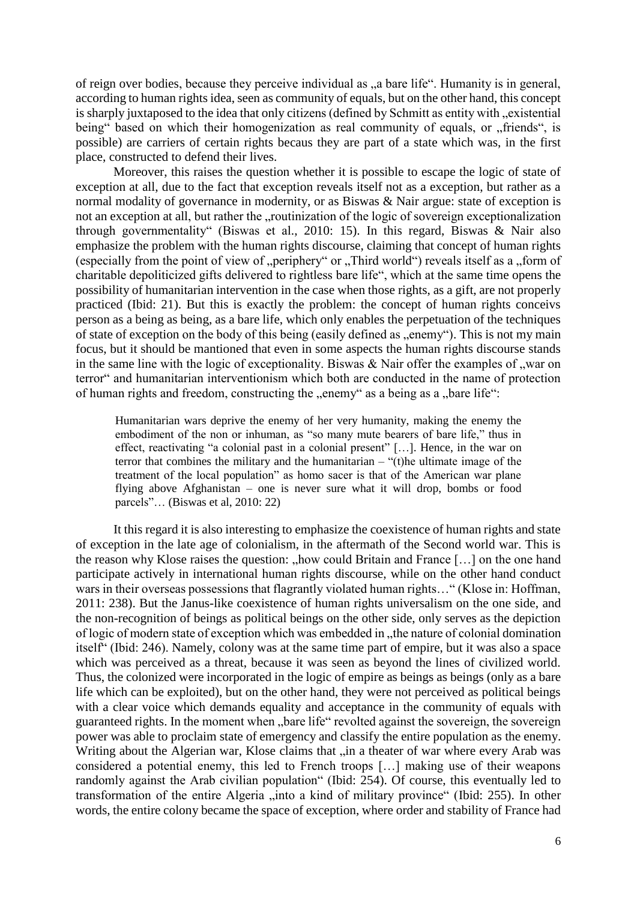of reign over bodies, because they perceive individual as "a bare life". Humanity is in general, according to human rights idea, seen as community of equals, but on the other hand, this concept is sharply juxtaposed to the idea that only citizens (defined by Schmitt as entity with "existential being" based on which their homogenization as real community of equals, or "friends", is possible) are carriers of certain rights becaus they are part of a state which was, in the first place, constructed to defend their lives.

Moreover, this raises the question whether it is possible to escape the logic of state of exception at all, due to the fact that exception reveals itself not as a exception, but rather as a normal modality of governance in modernity, or as Biswas & Nair argue: state of exception is not an exception at all, but rather the "routinization of the logic of sovereign exceptionalization through governmentality" (Biswas et al., 2010: 15). In this regard, Biswas & Nair also emphasize the problem with the human rights discourse, claiming that concept of human rights (especially from the point of view of "periphery" or "Third world") reveals itself as a "form of charitable depoliticized gifts delivered to rightless bare life", which at the same time opens the possibility of humanitarian intervention in the case when those rights, as a gift, are not properly practiced (Ibid: 21). But this is exactly the problem: the concept of human rights conceivs person as a being as being, as a bare life, which only enables the perpetuation of the techniques of state of exception on the body of this being (easily defined as ..enemy"). This is not my main focus, but it should be mantioned that even in some aspects the human rights discourse stands in the same line with the logic of exceptionality. Biswas  $\&$  Nair offer the examples of "war on terror" and humanitarian interventionism which both are conducted in the name of protection of human rights and freedom, constructing the "enemy" as a being as a "bare life":

Humanitarian wars deprive the enemy of her very humanity, making the enemy the embodiment of the non or inhuman, as "so many mute bearers of bare life," thus in effect, reactivating "a colonial past in a colonial present" […]. Hence, in the war on terror that combines the military and the humanitarian – "(t)he ultimate image of the treatment of the local population" as homo sacer is that of the American war plane flying above Afghanistan – one is never sure what it will drop, bombs or food parcels"… (Biswas et al, 2010: 22)

It this regard it is also interesting to emphasize the coexistence of human rights and state of exception in the late age of colonialism, in the aftermath of the Second world war. This is the reason why Klose raises the question: "how could Britain and France  $[\dots]$  on the one hand participate actively in international human rights discourse, while on the other hand conduct wars in their overseas possessions that flagrantly violated human rights..." (Klose in: Hoffman, 2011: 238). But the Janus-like coexistence of human rights universalism on the one side, and the non-recognition of beings as political beings on the other side, only serves as the depiction of logic of modern state of exception which was embedded in "the nature of colonial domination itself" (Ibid: 246). Namely, colony was at the same time part of empire, but it was also a space which was perceived as a threat, because it was seen as beyond the lines of civilized world. Thus, the colonized were incorporated in the logic of empire as beings as beings (only as a bare life which can be exploited), but on the other hand, they were not perceived as political beings with a clear voice which demands equality and acceptance in the community of equals with guaranteed rights. In the moment when "bare life" revolted against the sovereign, the sovereign power was able to proclaim state of emergency and classify the entire population as the enemy. Writing about the Algerian war, Klose claims that "in a theater of war where every Arab was considered a potential enemy, this led to French troops […] making use of their weapons randomly against the Arab civilian population" (Ibid: 254). Of course, this eventually led to transformation of the entire Algeria "into a kind of military province" (Ibid: 255). In other words, the entire colony became the space of exception, where order and stability of France had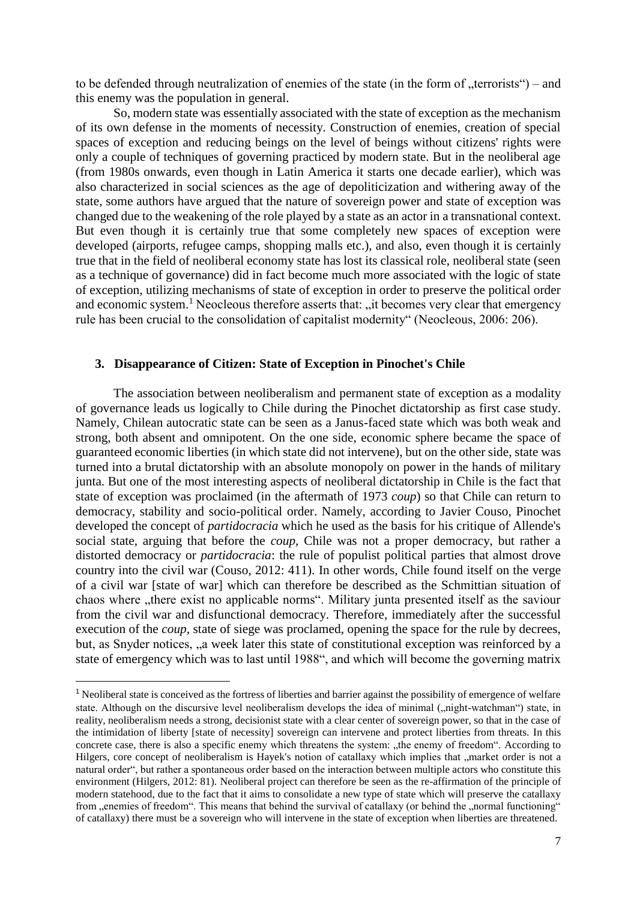to be defended through neutralization of enemies of the state (in the form of  $\mu$ terrorists") – and this enemy was the population in general.

So, modern state was essentially associated with the state of exception as the mechanism of its own defense in the moments of necessity. Construction of enemies, creation of special spaces of exception and reducing beings on the level of beings without citizens' rights were only a couple of techniques of governing practiced by modern state. But in the neoliberal age (from 1980s onwards, even though in Latin America it starts one decade earlier), which was also characterized in social sciences as the age of depoliticization and withering away of the state, some authors have argued that the nature of sovereign power and state of exception was changed due to the weakening of the role played by a state as an actor in a transnational context. But even though it is certainly true that some completely new spaces of exception were developed (airports, refugee camps, shopping malls etc.), and also, even though it is certainly true that in the field of neoliberal economy state has lost its classical role, neoliberal state (seen as a technique of governance) did in fact become much more associated with the logic of state of exception, utilizing mechanisms of state of exception in order to preserve the political order and economic system.<sup>1</sup> Neocleous therefore asserts that: "it becomes very clear that emergency" rule has been crucial to the consolidation of capitalist modernity" (Neocleous, 2006: 206).

#### **3. Disappearance of Citizen: State of Exception in Pinochet's Chile**

The association between neoliberalism and permanent state of exception as a modality of governance leads us logically to Chile during the Pinochet dictatorship as first case study. Namely, Chilean autocratic state can be seen as a Janus-faced state which was both weak and strong, both absent and omnipotent. On the one side, economic sphere became the space of guaranteed economic liberties (in which state did not intervene), but on the other side, state was turned into a brutal dictatorship with an absolute monopoly on power in the hands of military junta. But one of the most interesting aspects of neoliberal dictatorship in Chile is the fact that state of exception was proclaimed (in the aftermath of 1973 *coup*) so that Chile can return to democracy, stability and socio-political order. Namely, according to Javier Couso, Pinochet developed the concept of *partidocracia* which he used as the basis for his critique of Allende's social state, arguing that before the *coup*, Chile was not a proper democracy, but rather a distorted democracy or *partidocracia*: the rule of populist political parties that almost drove country into the civil war (Couso, 2012: 411). In other words, Chile found itself on the verge of a civil war [state of war] which can therefore be described as the Schmittian situation of chaos where "there exist no applicable norms". Military junta presented itself as the saviour from the civil war and disfunctional democracy. Therefore, immediately after the successful execution of the *coup*, state of siege was proclamed, opening the space for the rule by decrees, but, as Snyder notices, "a week later this state of constitutional exception was reinforced by a state of emergency which was to last until 1988", and which will become the governing matrix

**.** 

<sup>&</sup>lt;sup>1</sup> Neoliberal state is conceived as the fortress of liberties and barrier against the possibility of emergence of welfare state. Although on the discursive level neoliberalism develops the idea of minimal ("night-watchman") state, in reality, neoliberalism needs a strong, decisionist state with a clear center of sovereign power, so that in the case of the intimidation of liberty [state of necessity] sovereign can intervene and protect liberties from threats. In this concrete case, there is also a specific enemy which threatens the system: "the enemy of freedom". According to Hilgers, core concept of neoliberalism is Hayek's notion of catallaxy which implies that "market order is not a natural order", but rather a spontaneous order based on the interaction between multiple actors who constitute this environment (Hilgers, 2012: 81). Neoliberal project can therefore be seen as the re-affirmation of the principle of modern statehood, due to the fact that it aims to consolidate a new type of state which will preserve the catallaxy from "enemies of freedom". This means that behind the survival of catallaxy (or behind the "normal functioning" of catallaxy) there must be a sovereign who will intervene in the state of exception when liberties are threatened.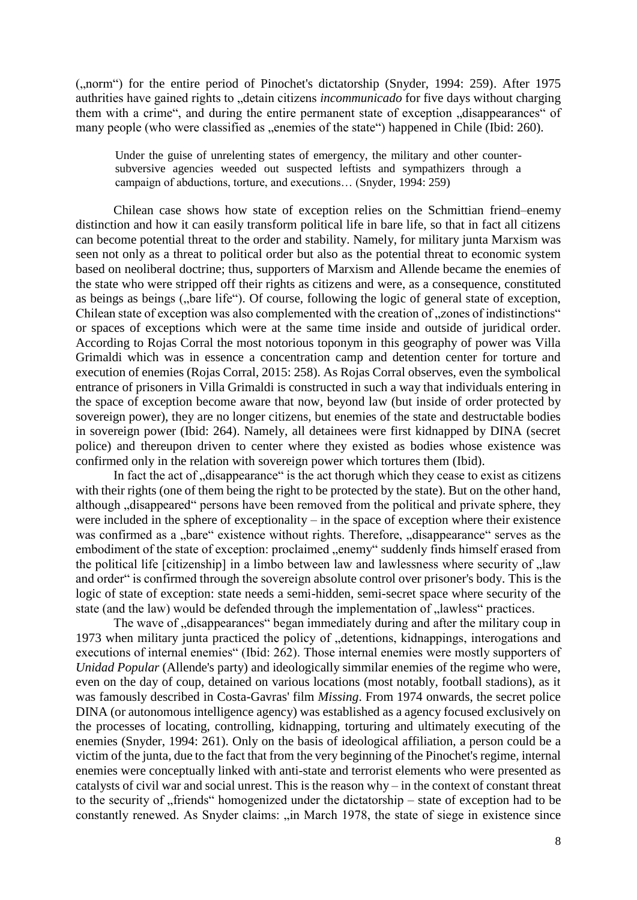("norm") for the entire period of Pinochet's dictatorship (Snyder, 1994: 259). After 1975 authrities have gained rights to "detain citizens *incommunicado* for five days without charging them with a crime", and during the entire permanent state of exception "disappearances" of many people (who were classified as "enemies of the state") happened in Chile (Ibid: 260).

Under the guise of unrelenting states of emergency, the military and other countersubversive agencies weeded out suspected leftists and sympathizers through a campaign of abductions, torture, and executions… (Snyder, 1994: 259)

Chilean case shows how state of exception relies on the Schmittian friend–enemy distinction and how it can easily transform political life in bare life, so that in fact all citizens can become potential threat to the order and stability. Namely, for military junta Marxism was seen not only as a threat to political order but also as the potential threat to economic system based on neoliberal doctrine; thus, supporters of Marxism and Allende became the enemies of the state who were stripped off their rights as citizens and were, as a consequence, constituted as beings as beings ("bare life"). Of course, following the logic of general state of exception, Chilean state of exception was also complemented with the creation of "zones of indistinctions" or spaces of exceptions which were at the same time inside and outside of juridical order. According to Rojas Corral the most notorious toponym in this geography of power was Villa Grimaldi which was in essence a concentration camp and detention center for torture and execution of enemies (Rojas Corral, 2015: 258). As Rojas Corral observes, even the symbolical entrance of prisoners in Villa Grimaldi is constructed in such a way that individuals entering in the space of exception become aware that now, beyond law (but inside of order protected by sovereign power), they are no longer citizens, but enemies of the state and destructable bodies in sovereign power (Ibid: 264). Namely, all detainees were first kidnapped by DINA (secret police) and thereupon driven to center where they existed as bodies whose existence was confirmed only in the relation with sovereign power which tortures them (Ibid).

In fact the act of  $\alpha$  disappearance" is the act thorugh which they cease to exist as citizens with their rights (one of them being the right to be protected by the state). But on the other hand, although , disappeared " persons have been removed from the political and private sphere, they were included in the sphere of exceptionality – in the space of exception where their existence was confirmed as a "bare" existence without rights. Therefore, "disappearance" serves as the embodiment of the state of exception: proclaimed "enemy" suddenly finds himself erased from the political life [citizenship] in a limbo between law and lawlessness where security of  $\mu$ aw and order" is confirmed through the sovereign absolute control over prisoner's body. This is the logic of state of exception: state needs a semi-hidden, semi-secret space where security of the state (and the law) would be defended through the implementation of "lawless" practices.

The wave of "disappearances" began immediately during and after the military coup in 1973 when military junta practiced the policy of "detentions, kidnappings, interogations and executions of internal enemies" (Ibid: 262). Those internal enemies were mostly supporters of *Unidad Popular* (Allende's party) and ideologically simmilar enemies of the regime who were, even on the day of coup, detained on various locations (most notably, football stadions), as it was famously described in Costa-Gavras' film *Missing*. From 1974 onwards, the secret police DINA (or autonomous intelligence agency) was established as a agency focused exclusively on the processes of locating, controlling, kidnapping, torturing and ultimately executing of the enemies (Snyder, 1994: 261). Only on the basis of ideological affiliation, a person could be a victim of the junta, due to the fact that from the very beginning of the Pinochet's regime, internal enemies were conceptually linked with anti-state and terrorist elements who were presented as catalysts of civil war and social unrest. This is the reason why – in the context of constant threat to the security of "friends" homogenized under the dictatorship – state of exception had to be constantly renewed. As Snyder claims: "in March 1978, the state of siege in existence since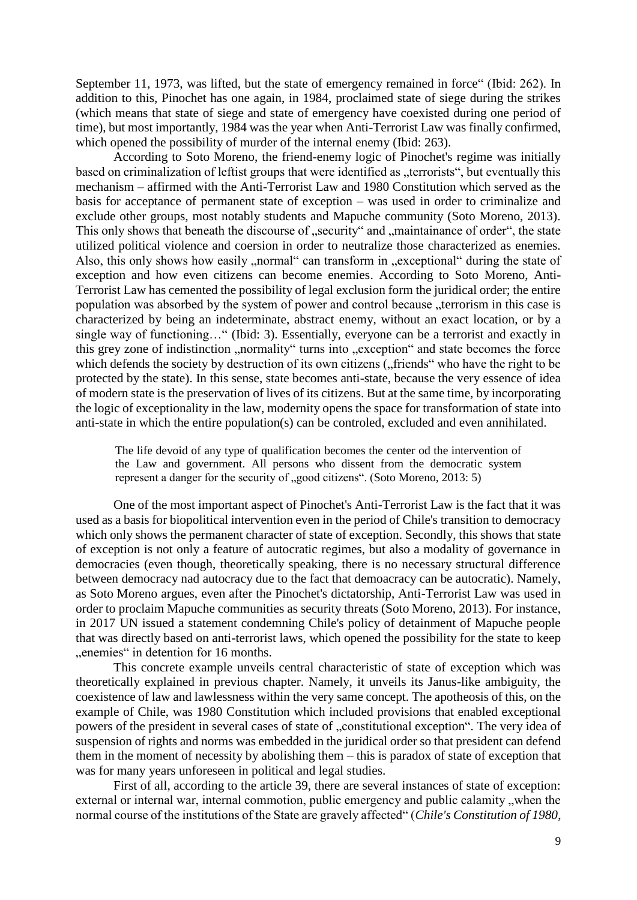September 11, 1973, was lifted, but the state of emergency remained in force" (Ibid: 262). In addition to this, Pinochet has one again, in 1984, proclaimed state of siege during the strikes (which means that state of siege and state of emergency have coexisted during one period of time), but most importantly, 1984 was the year when Anti-Terrorist Law was finally confirmed, which opened the possibility of murder of the internal enemy (Ibid: 263).

According to Soto Moreno, the friend-enemy logic of Pinochet's regime was initially based on criminalization of leftist groups that were identified as "terrorists", but eventually this mechanism – affirmed with the Anti-Terrorist Law and 1980 Constitution which served as the basis for acceptance of permanent state of exception – was used in order to criminalize and exclude other groups, most notably students and Mapuche community (Soto Moreno, 2013). This only shows that beneath the discourse of "security" and "maintainance of order", the state utilized political violence and coersion in order to neutralize those characterized as enemies. Also, this only shows how easily , normal can transform in , exceptional during the state of exception and how even citizens can become enemies. According to Soto Moreno, Anti-Terrorist Law has cemented the possibility of legal exclusion form the juridical order; the entire population was absorbed by the system of power and control because "terrorism in this case is characterized by being an indeterminate, abstract enemy, without an exact location, or by a single way of functioning…" (Ibid: 3). Essentially, everyone can be a terrorist and exactly in this grey zone of indistinction "normality" turns into "exception" and state becomes the force which defends the society by destruction of its own citizens ("friends" who have the right to be protected by the state). In this sense, state becomes anti-state, because the very essence of idea of modern state is the preservation of lives of its citizens. But at the same time, by incorporating the logic of exceptionality in the law, modernity opens the space for transformation of state into anti-state in which the entire population(s) can be controled, excluded and even annihilated.

The life devoid of any type of qualification becomes the center od the intervention of the Law and government. All persons who dissent from the democratic system represent a danger for the security of  $\mu$ good citizens". (Soto Moreno, 2013: 5)

One of the most important aspect of Pinochet's Anti-Terrorist Law is the fact that it was used as a basis for biopolitical intervention even in the period of Chile's transition to democracy which only shows the permanent character of state of exception. Secondly, this shows that state of exception is not only a feature of autocratic regimes, but also a modality of governance in democracies (even though, theoretically speaking, there is no necessary structural difference between democracy nad autocracy due to the fact that demoacracy can be autocratic). Namely, as Soto Moreno argues, even after the Pinochet's dictatorship, Anti-Terrorist Law was used in order to proclaim Mapuche communities as security threats (Soto Moreno, 2013). For instance, in 2017 UN issued a statement condemning Chile's policy of detainment of Mapuche people that was directly based on anti-terrorist laws, which opened the possibility for the state to keep "enemies" in detention for 16 months.

This concrete example unveils central characteristic of state of exception which was theoretically explained in previous chapter. Namely, it unveils its Janus-like ambiguity, the coexistence of law and lawlessness within the very same concept. The apotheosis of this, on the example of Chile, was 1980 Constitution which included provisions that enabled exceptional powers of the president in several cases of state of "constitutional exception". The very idea of suspension of rights and norms was embedded in the juridical order so that president can defend them in the moment of necessity by abolishing them – this is paradox of state of exception that was for many years unforeseen in political and legal studies.

First of all, according to the article 39, there are several instances of state of exception: external or internal war, internal commotion, public emergency and public calamity, when the normal course of the institutions of the State are gravely affected" (*Chile's Constitution of 1980*,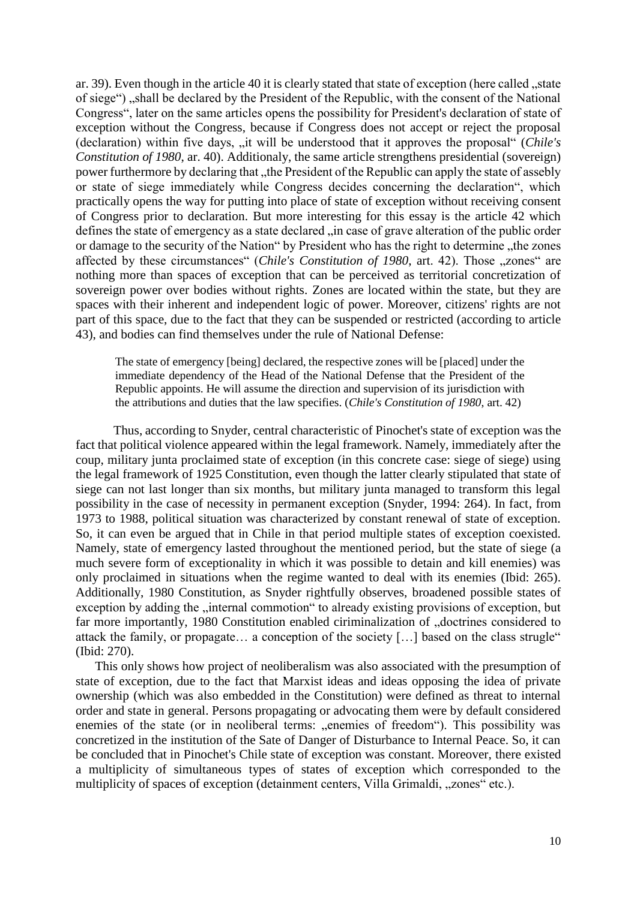ar. 39). Even though in the article 40 it is clearly stated that state of exception (here called , state of siege") "shall be declared by the President of the Republic, with the consent of the National Congress", later on the same articles opens the possibility for President's declaration of state of exception without the Congress, because if Congress does not accept or reject the proposal (declaration) within five days, "it will be understood that it approves the proposal" (*Chile's Constitution of 1980*, ar. 40). Additionaly, the same article strengthens presidential (sovereign) power furthermore by declaring that "the President of the Republic can apply the state of assebly or state of siege immediately while Congress decides concerning the declaration", which practically opens the way for putting into place of state of exception without receiving consent of Congress prior to declaration. But more interesting for this essay is the article 42 which defines the state of emergency as a state declared "in case of grave alteration of the public order or damage to the security of the Nation" by President who has the right to determine "the zones affected by these circumstances" (*Chile's Constitution of 1980*, art. 42). Those "zones" are nothing more than spaces of exception that can be perceived as territorial concretization of sovereign power over bodies without rights. Zones are located within the state, but they are spaces with their inherent and independent logic of power. Moreover, citizens' rights are not part of this space, due to the fact that they can be suspended or restricted (according to article 43), and bodies can find themselves under the rule of National Defense:

The state of emergency [being] declared, the respective zones will be [placed] under the immediate dependency of the Head of the National Defense that the President of the Republic appoints. He will assume the direction and supervision of its jurisdiction with the attributions and duties that the law specifies. (*Chile's Constitution of 1980*, art. 42)

Thus, according to Snyder, central characteristic of Pinochet's state of exception was the fact that political violence appeared within the legal framework. Namely, immediately after the coup, military junta proclaimed state of exception (in this concrete case: siege of siege) using the legal framework of 1925 Constitution, even though the latter clearly stipulated that state of siege can not last longer than six months, but military junta managed to transform this legal possibility in the case of necessity in permanent exception (Snyder, 1994: 264). In fact, from 1973 to 1988, political situation was characterized by constant renewal of state of exception. So, it can even be argued that in Chile in that period multiple states of exception coexisted. Namely, state of emergency lasted throughout the mentioned period, but the state of siege (a much severe form of exceptionality in which it was possible to detain and kill enemies) was only proclaimed in situations when the regime wanted to deal with its enemies (Ibid: 265). Additionally, 1980 Constitution, as Snyder rightfully observes, broadened possible states of exception by adding the "internal commotion" to already existing provisions of exception, but far more importantly, 1980 Constitution enabled ciriminalization of "doctrines considered to attack the family, or propagate… a conception of the society […] based on the class strugle" (Ibid: 270).

This only shows how project of neoliberalism was also associated with the presumption of state of exception, due to the fact that Marxist ideas and ideas opposing the idea of private ownership (which was also embedded in the Constitution) were defined as threat to internal order and state in general. Persons propagating or advocating them were by default considered enemies of the state (or in neoliberal terms: "enemies of freedom"). This possibility was concretized in the institution of the Sate of Danger of Disturbance to Internal Peace. So, it can be concluded that in Pinochet's Chile state of exception was constant. Moreover, there existed a multiplicity of simultaneous types of states of exception which corresponded to the multiplicity of spaces of exception (detainment centers, Villa Grimaldi, "zones" etc.).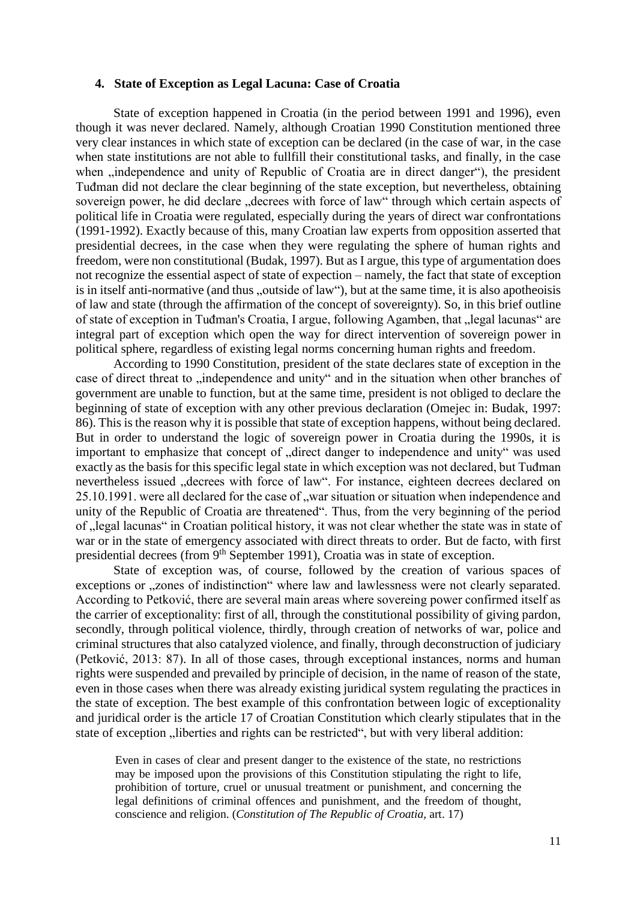#### **4. State of Exception as Legal Lacuna: Case of Croatia**

State of exception happened in Croatia (in the period between 1991 and 1996), even though it was never declared. Namely, although Croatian 1990 Constitution mentioned three very clear instances in which state of exception can be declared (in the case of war, in the case when state institutions are not able to fullfill their constitutional tasks, and finally, in the case when , independence and unity of Republic of Croatia are in direct danger"), the president Tuđman did not declare the clear beginning of the state exception, but nevertheless, obtaining sovereign power, he did declare "decrees with force of law" through which certain aspects of political life in Croatia were regulated, especially during the years of direct war confrontations (1991-1992). Exactly because of this, many Croatian law experts from opposition asserted that presidential decrees, in the case when they were regulating the sphere of human rights and freedom, were non constitutional (Budak, 1997). But as I argue, this type of argumentation does not recognize the essential aspect of state of expection – namely, the fact that state of exception is in itself anti-normative (and thus "outside of law"), but at the same time, it is also apotheoisis of law and state (through the affirmation of the concept of sovereignty). So, in this brief outline of state of exception in Tuđman's Croatia, I argue, following Agamben, that "legal lacunas" are integral part of exception which open the way for direct intervention of sovereign power in political sphere, regardless of existing legal norms concerning human rights and freedom.

According to 1990 Constitution, president of the state declares state of exception in the case of direct threat to "independence and unity" and in the situation when other branches of government are unable to function, but at the same time, president is not obliged to declare the beginning of state of exception with any other previous declaration (Omejec in: Budak, 1997: 86). This is the reason why it is possible that state of exception happens, without being declared. But in order to understand the logic of sovereign power in Croatia during the 1990s, it is important to emphasize that concept of "direct danger to independence and unity" was used exactly as the basis for this specific legal state in which exception was not declared, but Tuđman nevertheless issued "decrees with force of law". For instance, eighteen decrees declared on 25.10.1991. were all declared for the case of "war situation or situation when independence and unity of the Republic of Croatia are threatened". Thus, from the very beginning of the period of "legal lacunas" in Croatian political history, it was not clear whether the state was in state of war or in the state of emergency associated with direct threats to order. But de facto, with first presidential decrees (from 9<sup>th</sup> September 1991), Croatia was in state of exception.

State of exception was, of course, followed by the creation of various spaces of exceptions or "zones of indistinction" where law and lawlessness were not clearly separated. According to Petković, there are several main areas where sovereing power confirmed itself as the carrier of exceptionality: first of all, through the constitutional possibility of giving pardon, secondly, through political violence, thirdly, through creation of networks of war, police and criminal structures that also catalyzed violence, and finally, through deconstruction of judiciary (Petković, 2013: 87). In all of those cases, through exceptional instances, norms and human rights were suspended and prevailed by principle of decision, in the name of reason of the state, even in those cases when there was already existing juridical system regulating the practices in the state of exception. The best example of this confrontation between logic of exceptionality and juridical order is the article 17 of Croatian Constitution which clearly stipulates that in the state of exception "liberties and rights can be restricted", but with very liberal addition:

Even in cases of clear and present danger to the existence of the state, no restrictions may be imposed upon the provisions of this Constitution stipulating the right to life, prohibition of torture, cruel or unusual treatment or punishment, and concerning the legal definitions of criminal offences and punishment, and the freedom of thought, conscience and religion. (*Constitution of The Republic of Croatia,* art. 17)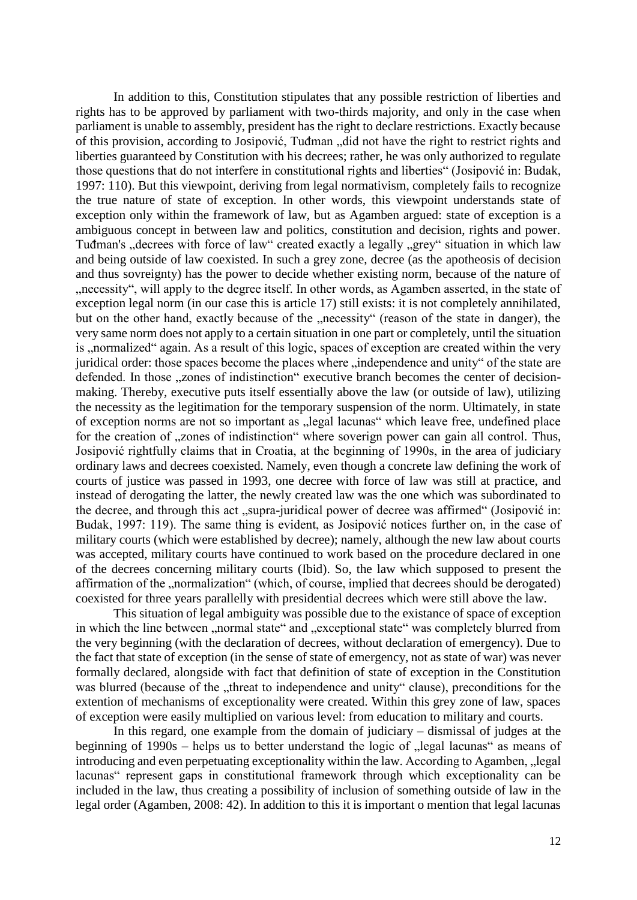In addition to this, Constitution stipulates that any possible restriction of liberties and rights has to be approved by parliament with two-thirds majority, and only in the case when parliament is unable to assembly, president has the right to declare restrictions. Exactly because of this provision, according to Josipović, Tuđman "did not have the right to restrict rights and liberties guaranteed by Constitution with his decrees; rather, he was only authorized to regulate those questions that do not interfere in constitutional rights and liberties" (Josipović in: Budak, 1997: 110). But this viewpoint, deriving from legal normativism, completely fails to recognize the true nature of state of exception. In other words, this viewpoint understands state of exception only within the framework of law, but as Agamben argued: state of exception is a ambiguous concept in between law and politics, constitution and decision, rights and power. Tuđman's "decrees with force of law" created exactly a legally "grey" situation in which law and being outside of law coexisted. In such a grey zone, decree (as the apotheosis of decision and thus sovreignty) has the power to decide whether existing norm, because of the nature of ", necessity", will apply to the degree itself. In other words, as Agamben asserted, in the state of exception legal norm (in our case this is article 17) still exists: it is not completely annihilated, but on the other hand, exactly because of the "necessity" (reason of the state in danger), the very same norm does not apply to a certain situation in one part or completely, until the situation is , normalized "again. As a result of this logic, spaces of exception are created within the very juridical order: those spaces become the places where "independence and unity" of the state are defended. In those "zones of indistinction" executive branch becomes the center of decisionmaking. Thereby, executive puts itself essentially above the law (or outside of law), utilizing the necessity as the legitimation for the temporary suspension of the norm. Ultimately, in state of exception norms are not so important as "legal lacunas" which leave free, undefined place for the creation of "zones of indistinction" where soverign power can gain all control. Thus, Josipović rightfully claims that in Croatia, at the beginning of 1990s, in the area of judiciary ordinary laws and decrees coexisted. Namely, even though a concrete law defining the work of courts of justice was passed in 1993, one decree with force of law was still at practice, and instead of derogating the latter, the newly created law was the one which was subordinated to the decree, and through this act "supra-juridical power of decree was affirmed" (Josipović in: Budak, 1997: 119). The same thing is evident, as Josipović notices further on, in the case of military courts (which were established by decree); namely, although the new law about courts was accepted, military courts have continued to work based on the procedure declared in one of the decrees concerning military courts (Ibid). So, the law which supposed to present the affirmation of the "normalization" (which, of course, implied that decrees should be derogated) coexisted for three years parallelly with presidential decrees which were still above the law.

This situation of legal ambiguity was possible due to the existance of space of exception in which the line between "normal state" and "exceptional state" was completely blurred from the very beginning (with the declaration of decrees, without declaration of emergency). Due to the fact that state of exception (in the sense of state of emergency, not as state of war) was never formally declared, alongside with fact that definition of state of exception in the Constitution was blurred (because of the "threat to independence and unity" clause), preconditions for the extention of mechanisms of exceptionality were created. Within this grey zone of law, spaces of exception were easily multiplied on various level: from education to military and courts.

In this regard, one example from the domain of judiciary – dismissal of judges at the beginning of  $1990s$  – helps us to better understand the logic of "legal lacunas" as means of introducing and even perpetuating exceptionality within the law. According to Agamben, "legal lacunas" represent gaps in constitutional framework through which exceptionality can be included in the law, thus creating a possibility of inclusion of something outside of law in the legal order (Agamben, 2008: 42). In addition to this it is important o mention that legal lacunas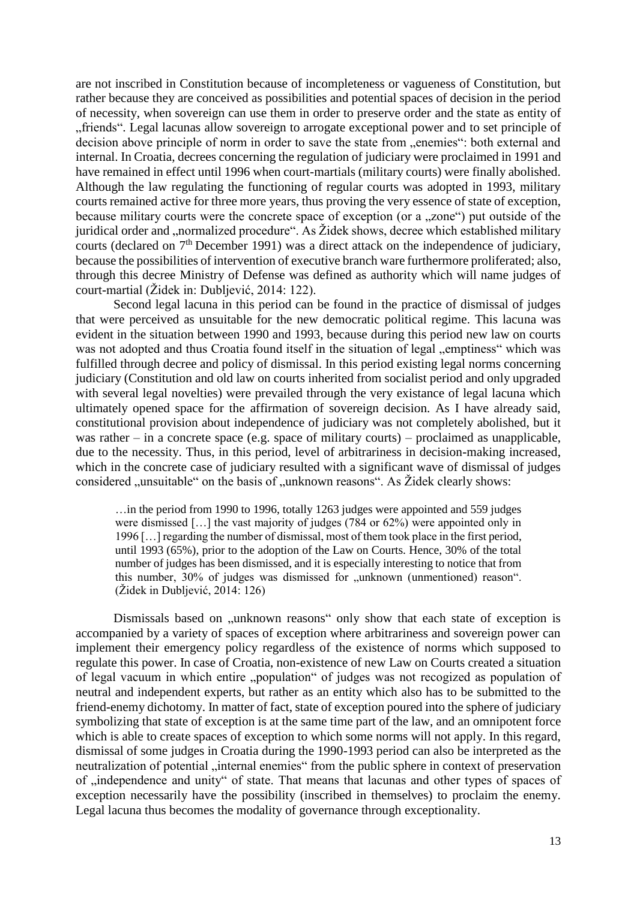are not inscribed in Constitution because of incompleteness or vagueness of Constitution, but rather because they are conceived as possibilities and potential spaces of decision in the period of necessity, when sovereign can use them in order to preserve order and the state as entity of "friends". Legal lacunas allow sovereign to arrogate exceptional power and to set principle of decision above principle of norm in order to save the state from "enemies": both external and internal. In Croatia, decrees concerning the regulation of judiciary were proclaimed in 1991 and have remained in effect until 1996 when court-martials (military courts) were finally abolished. Although the law regulating the functioning of regular courts was adopted in 1993, military courts remained active for three more years, thus proving the very essence of state of exception, because military courts were the concrete space of exception (or a "zone") put outside of the juridical order and ..normalized procedure". As Židek shows, decree which established military courts (declared on 7<sup>th</sup> December 1991) was a direct attack on the independence of judiciary, because the possibilities of intervention of executive branch ware furthermore proliferated; also, through this decree Ministry of Defense was defined as authority which will name judges of court-martial (Židek in: Dubljević, 2014: 122).

Second legal lacuna in this period can be found in the practice of dismissal of judges that were perceived as unsuitable for the new democratic political regime. This lacuna was evident in the situation between 1990 and 1993, because during this period new law on courts was not adopted and thus Croatia found itself in the situation of legal "emptiness" which was fulfilled through decree and policy of dismissal. In this period existing legal norms concerning judiciary (Constitution and old law on courts inherited from socialist period and only upgraded with several legal novelties) were prevailed through the very existance of legal lacuna which ultimately opened space for the affirmation of sovereign decision. As I have already said, constitutional provision about independence of judiciary was not completely abolished, but it was rather – in a concrete space (e.g. space of military courts) – proclaimed as unapplicable, due to the necessity. Thus, in this period, level of arbitrariness in decision-making increased, which in the concrete case of judiciary resulted with a significant wave of dismissal of judges considered "unsuitable" on the basis of "unknown reasons". As Židek clearly shows:

…in the period from 1990 to 1996, totally 1263 judges were appointed and 559 judges were dismissed […] the vast majority of judges (784 or 62%) were appointed only in 1996 […] regarding the number of dismissal, most of them took place in the first period, until 1993 (65%), prior to the adoption of the Law on Courts. Hence, 30% of the total number of judges has been dismissed, and it is especially interesting to notice that from this number, 30% of judges was dismissed for "unknown (unmentioned) reason". (Židek in Dubljević, 2014: 126)

Dismissals based on "unknown reasons" only show that each state of exception is accompanied by a variety of spaces of exception where arbitrariness and sovereign power can implement their emergency policy regardless of the existence of norms which supposed to regulate this power. In case of Croatia, non-existence of new Law on Courts created a situation of legal vacuum in which entire "population" of judges was not recogized as population of neutral and independent experts, but rather as an entity which also has to be submitted to the friend-enemy dichotomy. In matter of fact, state of exception poured into the sphere of judiciary symbolizing that state of exception is at the same time part of the law, and an omnipotent force which is able to create spaces of exception to which some norms will not apply. In this regard, dismissal of some judges in Croatia during the 1990-1993 period can also be interpreted as the neutralization of potential "internal enemies" from the public sphere in context of preservation of , independence and unity" of state. That means that lacunas and other types of spaces of exception necessarily have the possibility (inscribed in themselves) to proclaim the enemy. Legal lacuna thus becomes the modality of governance through exceptionality.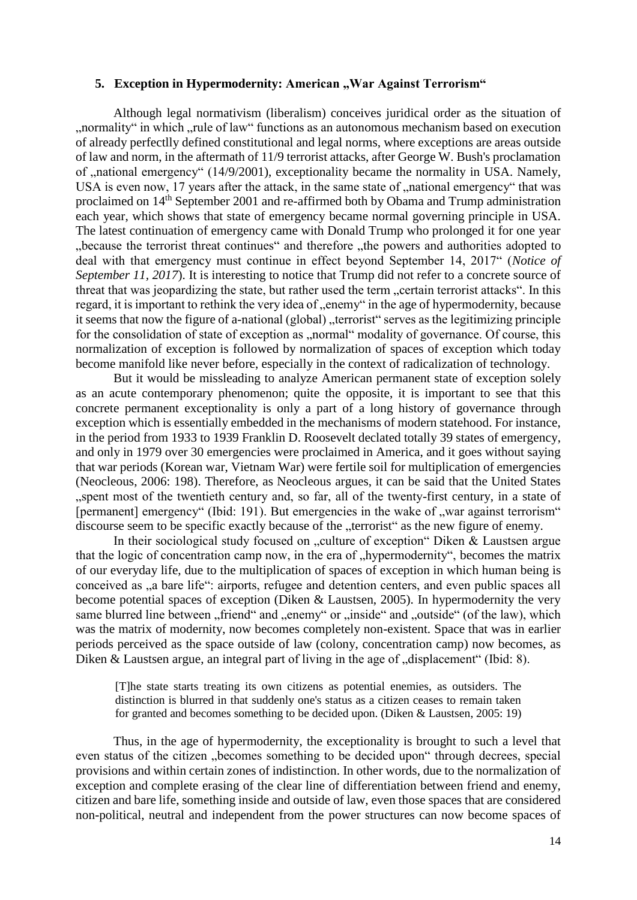### **5. Exception in Hypermodernity: American "War Against Terrorism"**

Although legal normativism (liberalism) conceives juridical order as the situation of "normality" in which "rule of law" functions as an autonomous mechanism based on execution of already perfectlly defined constitutional and legal norms, where exceptions are areas outside of law and norm, in the aftermath of 11/9 terrorist attacks, after George W. Bush's proclamation of  $\mu$ national emergency" (14/9/2001), exceptionality became the normality in USA. Namely, USA is even now, 17 years after the attack, in the same state of "national emergency" that was proclaimed on 14th September 2001 and re-affirmed both by Obama and Trump administration each year, which shows that state of emergency became normal governing principle in USA. The latest continuation of emergency came with Donald Trump who prolonged it for one year "because the terrorist threat continues" and therefore "the powers and authorities adopted to deal with that emergency must continue in effect beyond September 14, 2017" (*Notice of September 11, 2017*). It is interesting to notice that Trump did not refer to a concrete source of threat that was jeopardizing the state, but rather used the term "certain terrorist attacks". In this regard, it is important to rethink the very idea of "enemy" in the age of hypermodernity, because it seems that now the figure of a-national (global), terrorist serves as the legitimizing principle for the consolidation of state of exception as "normal" modality of governance. Of course, this normalization of exception is followed by normalization of spaces of exception which today become manifold like never before, especially in the context of radicalization of technology.

But it would be missleading to analyze American permanent state of exception solely as an acute contemporary phenomenon; quite the opposite, it is important to see that this concrete permanent exceptionality is only a part of a long history of governance through exception which is essentially embedded in the mechanisms of modern statehood. For instance, in the period from 1933 to 1939 Franklin D. Roosevelt declated totally 39 states of emergency, and only in 1979 over 30 emergencies were proclaimed in America, and it goes without saying that war periods (Korean war, Vietnam War) were fertile soil for multiplication of emergencies (Neocleous, 2006: 198). Therefore, as Neocleous argues, it can be said that the United States "spent most of the twentieth century and, so far, all of the twenty-first century, in a state of [permanent] emergency" (Ibid: 191). But emergencies in the wake of "war against terrorism" discourse seem to be specific exactly because of the "terrorist" as the new figure of enemy.

In their sociological study focused on "culture of exception" Diken  $&$  Laustsen argue that the logic of concentration camp now, in the era of "hypermodernity", becomes the matrix of our everyday life, due to the multiplication of spaces of exception in which human being is conceived as , a bare life": airports, refugee and detention centers, and even public spaces all become potential spaces of exception (Diken & Laustsen, 2005). In hypermodernity the very same blurred line between "friend" and "enemy" or "inside" and "outside" (of the law), which was the matrix of modernity, now becomes completely non-existent. Space that was in earlier periods perceived as the space outside of law (colony, concentration camp) now becomes, as Diken & Laustsen argue, an integral part of living in the age of  $\alpha$  displacement" (Ibid: 8).

[T]he state starts treating its own citizens as potential enemies, as outsiders. The distinction is blurred in that suddenly one's status as a citizen ceases to remain taken for granted and becomes something to be decided upon. (Diken & Laustsen, 2005: 19)

Thus, in the age of hypermodernity, the exceptionality is brought to such a level that even status of the citizen "becomes something to be decided upon" through decrees, special provisions and within certain zones of indistinction. In other words, due to the normalization of exception and complete erasing of the clear line of differentiation between friend and enemy, citizen and bare life, something inside and outside of law, even those spaces that are considered non-political, neutral and independent from the power structures can now become spaces of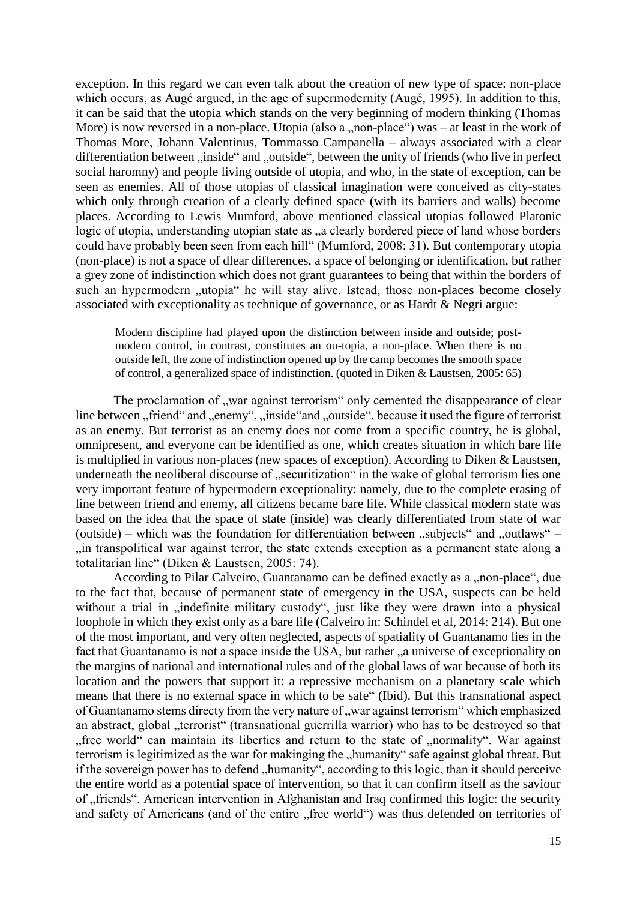exception. In this regard we can even talk about the creation of new type of space: non-place which occurs, as Augé argued, in the age of supermodernity (Augé, 1995). In addition to this, it can be said that the utopia which stands on the very beginning of modern thinking (Thomas More) is now reversed in a non-place. Utopia (also a ,,non-place") was – at least in the work of Thomas More, Johann Valentinus, Tommasso Campanella – always associated with a clear differentiation between "inside" and "outside", between the unity of friends (who live in perfect social haromny) and people living outside of utopia, and who, in the state of exception, can be seen as enemies. All of those utopias of classical imagination were conceived as city-states which only through creation of a clearly defined space (with its barriers and walls) become places. According to Lewis Mumford, above mentioned classical utopias followed Platonic logic of utopia, understanding utopian state as ..a clearly bordered piece of land whose borders could have probably been seen from each hill" (Mumford, 2008: 31). But contemporary utopia (non-place) is not a space of dlear differences, a space of belonging or identification, but rather a grey zone of indistinction which does not grant guarantees to being that within the borders of such an hypermodern "utopia" he will stay alive. Istead, those non-places become closely associated with exceptionality as technique of governance, or as Hardt & Negri argue:

Modern discipline had played upon the distinction between inside and outside; postmodern control, in contrast, constitutes an ou-topia, a non-place. When there is no outside left, the zone of indistinction opened up by the camp becomes the smooth space of control, a generalized space of indistinction. (quoted in Diken & Laustsen, 2005: 65)

The proclamation of , war against terrorism only cemented the disappearance of clear line between "friend" and "enemy", "inside" and "outside", because it used the figure of terrorist as an enemy. But terrorist as an enemy does not come from a specific country, he is global, omnipresent, and everyone can be identified as one, which creates situation in which bare life is multiplied in various non-places (new spaces of exception). According to Diken & Laustsen, underneath the neoliberal discourse of ..securitization" in the wake of global terrorism lies one very important feature of hypermodern exceptionality: namely, due to the complete erasing of line between friend and enemy, all citizens became bare life. While classical modern state was based on the idea that the space of state (inside) was clearly differentiated from state of war (outside) – which was the foundation for differentiation between  $\alpha$  "subjects" and  $\alpha$ " – "in transpolitical war against terror, the state extends exception as a permanent state along a totalitarian line" (Diken & Laustsen, 2005: 74).

According to Pilar Calveiro, Guantanamo can be defined exactly as a "non-place", due to the fact that, because of permanent state of emergency in the USA, suspects can be held without a trial in "indefinite military custody", just like they were drawn into a physical loophole in which they exist only as a bare life (Calveiro in: Schindel et al, 2014: 214). But one of the most important, and very often neglected, aspects of spatiality of Guantanamo lies in the fact that Guantanamo is not a space inside the USA, but rather "a universe of exceptionality on the margins of national and international rules and of the global laws of war because of both its location and the powers that support it: a repressive mechanism on a planetary scale which means that there is no external space in which to be safe" (Ibid). But this transnational aspect of Guantanamo stems directy from the very nature of "war against terrorism" which emphasized an abstract, global "terrorist" (transnational guerrilla warrior) who has to be destroyed so that "free world" can maintain its liberties and return to the state of "normality". War against terrorism is legitimized as the war for makinging the "humanity" safe against global threat. But if the sovereign power has to defend "humanity", according to this logic, than it should perceive the entire world as a potential space of intervention, so that it can confirm itself as the saviour of "friends". American intervention in Afghanistan and Iraq confirmed this logic: the security and safety of Americans (and of the entire "free world") was thus defended on territories of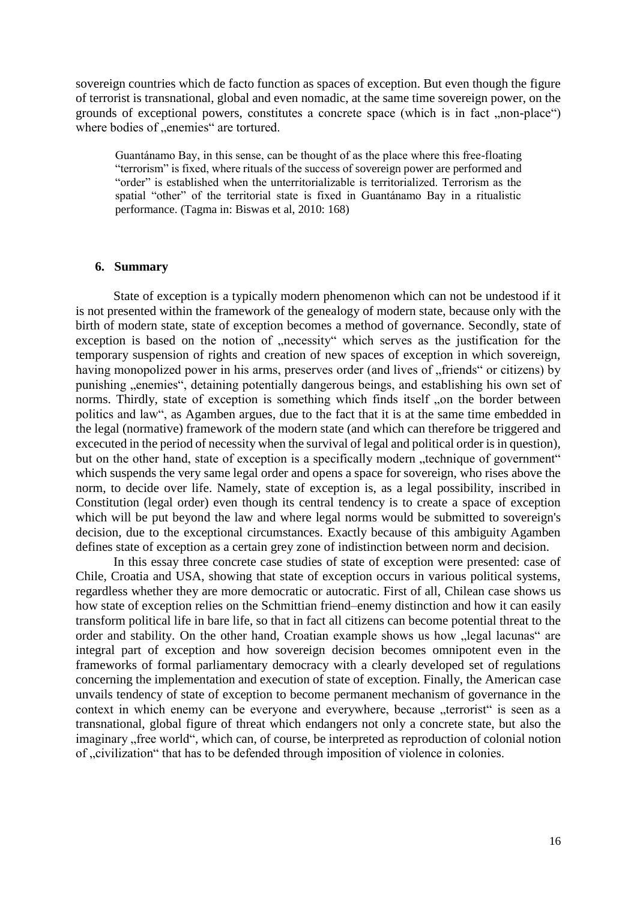sovereign countries which de facto function as spaces of exception. But even though the figure of terrorist is transnational, global and even nomadic, at the same time sovereign power, on the grounds of exceptional powers, constitutes a concrete space (which is in fact , non-place") where bodies of "enemies" are tortured.

Guantánamo Bay, in this sense, can be thought of as the place where this free-floating "terrorism" is fixed, where rituals of the success of sovereign power are performed and "order" is established when the unterritorializable is territorialized. Terrorism as the spatial "other" of the territorial state is fixed in Guantánamo Bay in a ritualistic performance. (Tagma in: Biswas et al, 2010: 168)

## **6. Summary**

State of exception is a typically modern phenomenon which can not be undestood if it is not presented within the framework of the genealogy of modern state, because only with the birth of modern state, state of exception becomes a method of governance. Secondly, state of exception is based on the notion of "necessity" which serves as the justification for the temporary suspension of rights and creation of new spaces of exception in which sovereign, having monopolized power in his arms, preserves order (and lives of "friends" or citizens) by punishing "enemies", detaining potentially dangerous beings, and establishing his own set of norms. Thirdly, state of exception is something which finds itself , on the border between politics and law", as Agamben argues, due to the fact that it is at the same time embedded in the legal (normative) framework of the modern state (and which can therefore be triggered and excecuted in the period of necessity when the survival of legal and political order is in question), but on the other hand, state of exception is a specifically modern "technique of government" which suspends the very same legal order and opens a space for sovereign, who rises above the norm, to decide over life. Namely, state of exception is, as a legal possibility, inscribed in Constitution (legal order) even though its central tendency is to create a space of exception which will be put beyond the law and where legal norms would be submitted to sovereign's decision, due to the exceptional circumstances. Exactly because of this ambiguity Agamben defines state of exception as a certain grey zone of indistinction between norm and decision.

In this essay three concrete case studies of state of exception were presented: case of Chile, Croatia and USA, showing that state of exception occurs in various political systems, regardless whether they are more democratic or autocratic. First of all, Chilean case shows us how state of exception relies on the Schmittian friend–enemy distinction and how it can easily transform political life in bare life, so that in fact all citizens can become potential threat to the order and stability. On the other hand, Croatian example shows us how "legal lacunas" are integral part of exception and how sovereign decision becomes omnipotent even in the frameworks of formal parliamentary democracy with a clearly developed set of regulations concerning the implementation and execution of state of exception. Finally, the American case unvails tendency of state of exception to become permanent mechanism of governance in the context in which enemy can be everyone and everywhere, because "terrorist" is seen as a transnational, global figure of threat which endangers not only a concrete state, but also the imaginary "free world", which can, of course, be interpreted as reproduction of colonial notion of "civilization" that has to be defended through imposition of violence in colonies.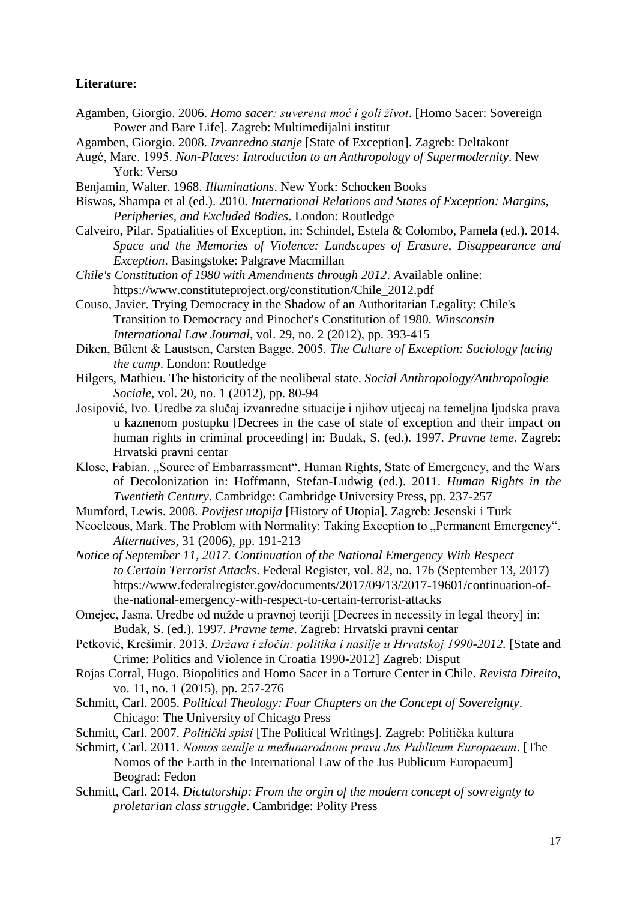# **Literature:**

- Agamben, Giorgio. 2006. *Homo sacer: suverena moć i goli život*. [Homo Sacer: Sovereign Power and Bare Life]. Zagreb: Multimedijalni institut
- Agamben, Giorgio. 2008. *Izvanredno stanje* [State of Exception]. Zagreb: Deltakont
- Augé, Marc. 1995. *Non-Places: Introduction to an Anthropology of Supermodernity*. New York: Verso
- Benjamin, Walter. 1968. *Illuminations*. New York: Schocken Books
- Biswas, Shampa et al (ed.). 2010. *International Relations and States of Exception: Margins, Peripheries, and Excluded Bodies*. London: Routledge
- Calveiro, Pilar. Spatialities of Exception, in: Schindel, Estela & Colombo, Pamela (ed.). 2014. *Space and the Memories of Violence: Landscapes of Erasure, Disappearance and Exception*. Basingstoke: Palgrave Macmillan
- *Chile's Constitution of 1980 with Amendments through 2012*. Available online: https://www.constituteproject.org/constitution/Chile\_2012.pdf
- Couso, Javier. Trying Democracy in the Shadow of an Authoritarian Legality: Chile's Transition to Democracy and Pinochet's Constitution of 1980. *Winsconsin International Law Journal*, vol. 29, no. 2 (2012), pp. 393-415
- Diken, Bülent & Laustsen, Carsten Bagge. 2005. *The Culture of Exception: Sociology facing the camp*. London: Routledge
- Hilgers, Mathieu. The historicity of the neoliberal state. *Social Anthropology/Anthropologie Sociale*, vol. 20, no. 1 (2012), pp. 80-94
- Josipović, Ivo. Uredbe za slučaj izvanredne situacije i njihov utjecaj na temeljna ljudska prava u kaznenom postupku [Decrees in the case of state of exception and their impact on human rights in criminal proceeding] in: Budak, S. (ed.). 1997. *Pravne teme*. Zagreb: Hrvatski pravni centar
- Klose, Fabian. "Source of Embarrassment". Human Rights, State of Emergency, and the Wars of Decolonization in: Hoffmann, Stefan-Ludwig (ed.). 2011. *Human Rights in the Twentieth Century*. Cambridge: Cambridge University Press, pp. 237-257
- Mumford, Lewis. 2008. *Povijest utopija* [History of Utopia]. Zagreb: Jesenski i Turk
- Neocleous, Mark. The Problem with Normality: Taking Exception to "Permanent Emergency". *Alternatives*, 31 (2006), pp. 191-213
- *Notice of September 11, 2017. Continuation of the National Emergency With Respect to Certain Terrorist Attacks*. Federal Register, vol. 82, no. 176 (September 13, 2017) https://www.federalregister.gov/documents/2017/09/13/2017-19601/continuation-ofthe-national-emergency-with-respect-to-certain-terrorist-attacks
- Omejec, Jasna. Uredbe od nužde u pravnoj teoriji [Decrees in necessity in legal theory] in: Budak, S. (ed.). 1997. *Pravne teme*. Zagreb: Hrvatski pravni centar
- Petković, Krešimir. 2013. *Država i zločin: politika i nasilje u Hrvatskoj 1990-2012.* [State and Crime: Politics and Violence in Croatia 1990-2012] Zagreb: Disput
- Rojas Corral, Hugo. Biopolitics and Homo Sacer in a Torture Center in Chile. *Revista Direito*, vo. 11, no. 1 (2015), pp. 257-276
- Schmitt, Carl. 2005. *Political Theology: Four Chapters on the Concept of Sovereignty*. Chicago: The University of Chicago Press
- Schmitt, Carl. 2007. *Politički spisi* [The Political Writings]. Zagreb: Politička kultura
- Schmitt, Carl. 2011. *Nomos zemlje u međunarodnom pravu Jus Publicum Europaeum*. [The Nomos of the Earth in the International Law of the Jus Publicum Europaeum] Beograd: Fedon
- Schmitt, Carl. 2014. *Dictatorship: From the orgin of the modern concept of sovreignty to proletarian class struggle*. Cambridge: Polity Press